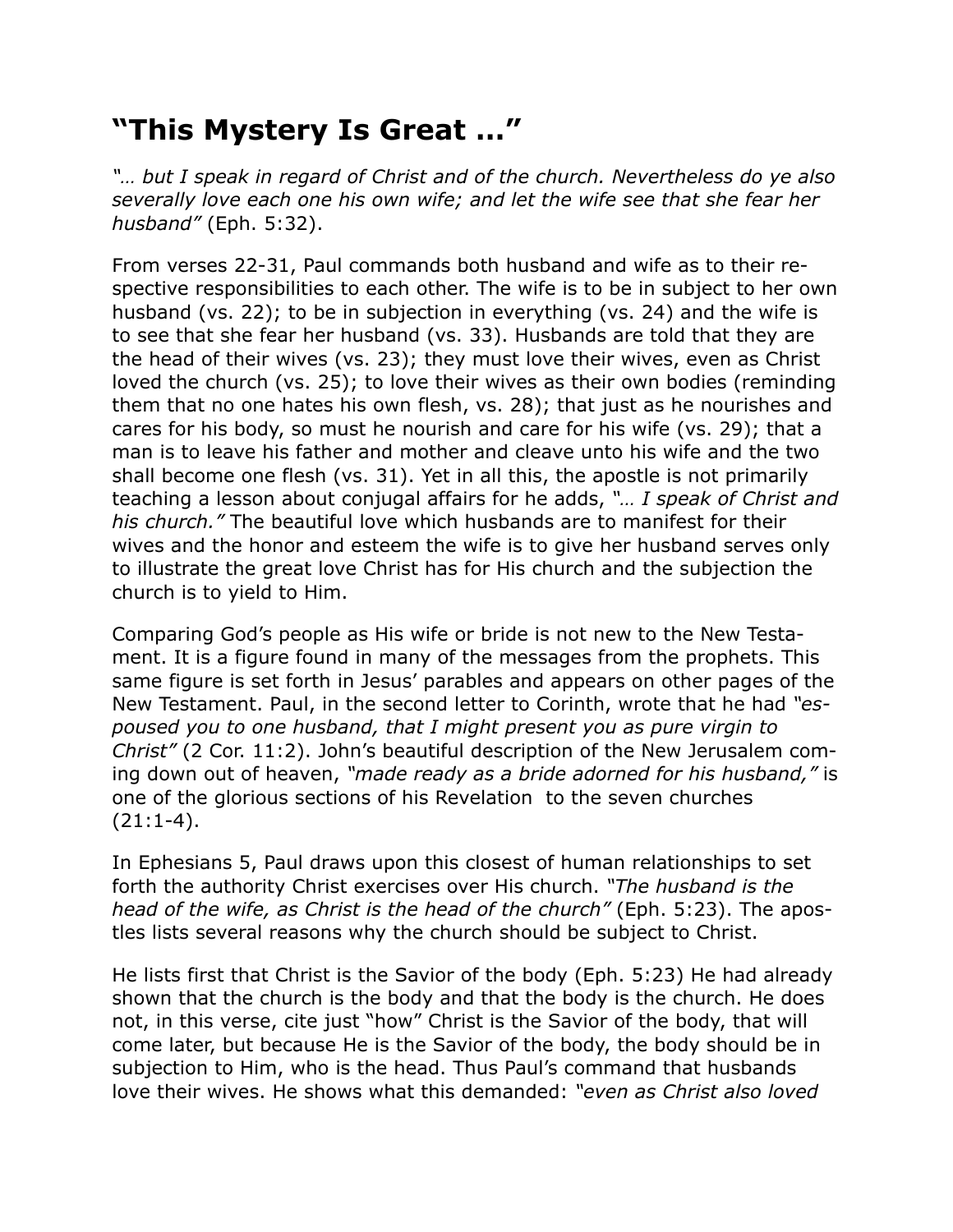## **"This Mystery Is Great …"**

*"… but I speak in regard of Christ and of the church. Nevertheless do ye also severally love each one his own wife; and let the wife see that she fear her husband"* (Eph. 5:32).

From verses 22-31, Paul commands both husband and wife as to their respective responsibilities to each other. The wife is to be in subject to her own husband (vs. 22); to be in subjection in everything (vs. 24) and the wife is to see that she fear her husband (vs. 33). Husbands are told that they are the head of their wives (vs. 23); they must love their wives, even as Christ loved the church (vs. 25); to love their wives as their own bodies (reminding them that no one hates his own flesh, vs. 28); that just as he nourishes and cares for his body, so must he nourish and care for his wife (vs. 29); that a man is to leave his father and mother and cleave unto his wife and the two shall become one flesh (vs. 31). Yet in all this, the apostle is not primarily teaching a lesson about conjugal affairs for he adds, *"… I speak of Christ and his church."* The beautiful love which husbands are to manifest for their wives and the honor and esteem the wife is to give her husband serves only to illustrate the great love Christ has for His church and the subjection the church is to yield to Him.

Comparing God's people as His wife or bride is not new to the New Testament. It is a figure found in many of the messages from the prophets. This same figure is set forth in Jesus' parables and appears on other pages of the New Testament. Paul, in the second letter to Corinth, wrote that he had *"espoused you to one husband, that I might present you as pure virgin to Christ"* (2 Cor. 11:2). John's beautiful description of the New Jerusalem coming down out of heaven, *"made ready as a bride adorned for his husband,"* is one of the glorious sections of his Revelation to the seven churches  $(21:1-4).$ 

In Ephesians 5, Paul draws upon this closest of human relationships to set forth the authority Christ exercises over His church. *"The husband is the head of the wife, as Christ is the head of the church"* (Eph. 5:23). The apostles lists several reasons why the church should be subject to Christ.

He lists first that Christ is the Savior of the body (Eph. 5:23) He had already shown that the church is the body and that the body is the church. He does not, in this verse, cite just "how" Christ is the Savior of the body, that will come later, but because He is the Savior of the body, the body should be in subjection to Him, who is the head. Thus Paul's command that husbands love their wives. He shows what this demanded: *"even as Christ also loved*